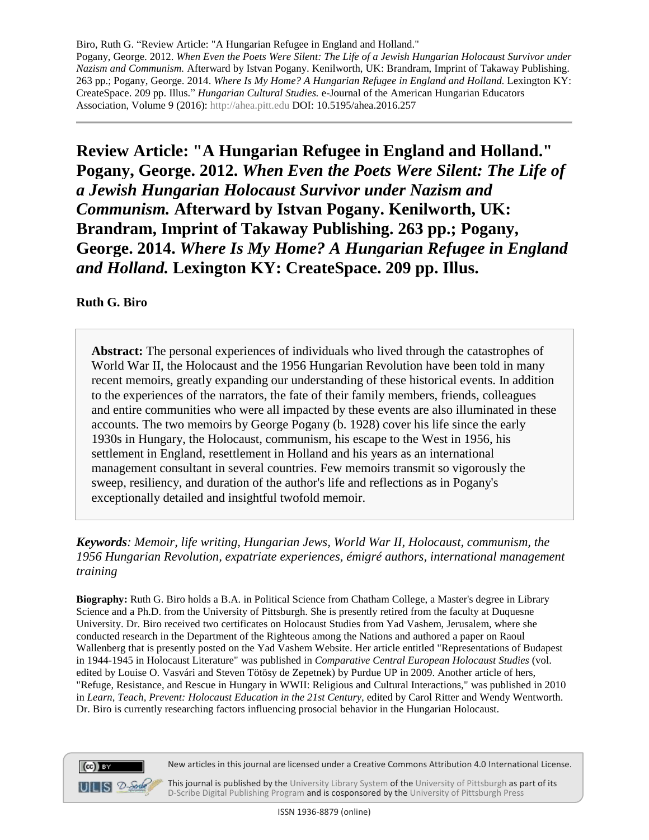**Review Article: "A Hungarian Refugee in England and Holland." Pogany, George. 2012.** *When Even the Poets Were Silent: The Life of a Jewish Hungarian Holocaust Survivor under Nazism and Communism.* **Afterward by Istvan Pogany. Kenilworth, UK: Brandram, Imprint of Takaway Publishing. 263 pp.; Pogany, George. 2014.** *Where Is My Home? A Hungarian Refugee in England and Holland.* **Lexington KY: CreateSpace. 209 pp. Illus.**

## **Ruth G. Biro**

**Abstract:** The personal experiences of individuals who lived through the catastrophes of World War II, the Holocaust and the 1956 Hungarian Revolution have been told in many recent memoirs, greatly expanding our understanding of these historical events. In addition to the experiences of the narrators, the fate of their family members, friends, colleagues and entire communities who were all impacted by these events are also illuminated in these accounts. The two memoirs by George Pogany (b. 1928) cover his life since the early 1930s in Hungary, the Holocaust, communism, his escape to the West in 1956, his settlement in England, resettlement in Holland and his years as an international management consultant in several countries. Few memoirs transmit so vigorously the sweep, resiliency, and duration of the author's life and reflections as in Pogany's exceptionally detailed and insightful twofold memoir.

*Keywords: Memoir, life writing, Hungarian Jews, World War II, Holocaust, communism, the 1956 Hungarian Revolution, expatriate experiences, émigré authors, international management training* 

**Biography:** Ruth G. Biro holds a B.A. in Political Science from Chatham College, a Master's degree in Library Science and a Ph.D. from the University of Pittsburgh. She is presently retired from the faculty at Duquesne University. Dr. Biro received two certificates on Holocaust Studies from Yad Vashem, Jerusalem, where she conducted research in the Department of the Righteous among the Nations and authored a paper on Raoul Wallenberg that is presently posted on the Yad Vashem Website. Her article entitled "Representations of Budapest in 1944-1945 in Holocaust Literature" was published in *Comparative Central European Holocaust Studies* (vol. edited by Louise O. Vasvári and Steven Tötösy de Zepetnek) by Purdue UP in 2009. Another article of hers, "Refuge, Resistance, and Rescue in Hungary in WWII: Religious and Cultural Interactions," was published in 2010 in *Learn, Teach, Prevent: Holocaust Education in the 21st Century,* edited by Carol Ritter and Wendy Wentworth. Dr. Biro is currently researching factors influencing prosocial behavior in the Hungarian Holocaust.



 $(cc)$  BY  $\blacksquare$   $\blacksquare$   $\blacksquare$   $\blacksquare$   $\blacksquare$   $\blacksquare$   $\blacksquare$   $\blacksquare$   $\blacksquare$   $\blacksquare$   $\blacksquare$   $\blacksquare$   $\blacksquare$   $\blacksquare$   $\blacksquare$   $\blacksquare$   $\blacksquare$   $\blacksquare$   $\blacksquare$   $\blacksquare$   $\blacksquare$   $\blacksquare$   $\blacksquare$   $\blacksquare$   $\blacksquare$   $\blacksquare$   $\blacksquare$   $\blacksquare$   $\blacksquare$   $\blacksquare$   $\blacksquare$   $\blacks$ 

This journal is published by th[e University Library System](http://www.library.pitt.edu/) of the [University of Pittsburgh](http://www.pitt.edu/) as part of its [D-Scribe Digital Publishing Program](http://www.library.pitt.edu/articles/digpubtype/index.html) and is cosponsored by the [University of Pittsburgh Press](http://upress.pitt.edu/)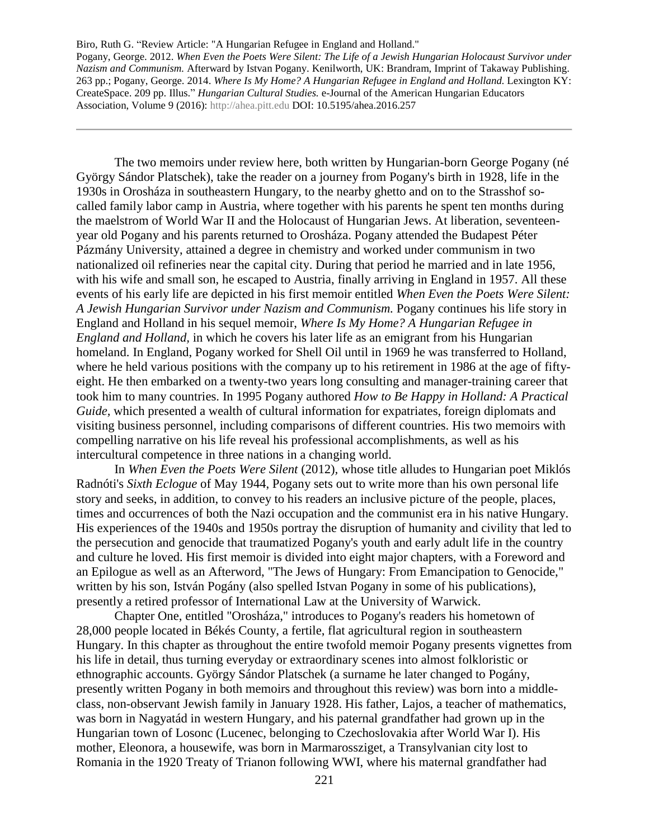Pogany, George. 2012. *When Even the Poets Were Silent: The Life of a Jewish Hungarian Holocaust Survivor under Nazism and Communism.* Afterward by Istvan Pogany. Kenilworth, UK: Brandram, Imprint of Takaway Publishing. 263 pp.; Pogany, George. 2014. *Where Is My Home? A Hungarian Refugee in England and Holland.* Lexington KY: CreateSpace. 209 pp. Illus." *Hungarian Cultural Studies.* e-Journal of the American Hungarian Educators Association, Volume 9 (2016): [http://ahea.pitt.edu](http://ahea.pitt.edu/) DOI: 10.5195/ahea.2016.257

The two memoirs under review here, both written by Hungarian-born George Pogany (né György Sándor Platschek), take the reader on a journey from Pogany's birth in 1928, life in the 1930s in Orosháza in southeastern Hungary, to the nearby ghetto and on to the Strasshof socalled family labor camp in Austria, where together with his parents he spent ten months during the maelstrom of World War II and the Holocaust of Hungarian Jews. At liberation, seventeenyear old Pogany and his parents returned to Orosháza. Pogany attended the Budapest Péter Pázmány University, attained a degree in chemistry and worked under communism in two nationalized oil refineries near the capital city. During that period he married and in late 1956, with his wife and small son, he escaped to Austria, finally arriving in England in 1957. All these events of his early life are depicted in his first memoir entitled *When Even the Poets Were Silent: A Jewish Hungarian Survivor under Nazism and Communism.* Pogany continues his life story in England and Holland in his sequel memoir, *Where Is My Home? A Hungarian Refugee in England and Holland,* in which he covers his later life as an emigrant from his Hungarian homeland. In England, Pogany worked for Shell Oil until in 1969 he was transferred to Holland, where he held various positions with the company up to his retirement in 1986 at the age of fiftyeight. He then embarked on a twenty-two years long consulting and manager-training career that took him to many countries. In 1995 Pogany authored *How to Be Happy in Holland: A Practical Guide,* which presented a wealth of cultural information for expatriates, foreign diplomats and visiting business personnel, including comparisons of different countries. His two memoirs with compelling narrative on his life reveal his professional accomplishments, as well as his intercultural competence in three nations in a changing world.

In *When Even the Poets Were Silent* (2012)*,* whose title alludes to Hungarian poet Miklós Radnóti's *Sixth Eclogue* of May 1944, Pogany sets out to write more than his own personal life story and seeks, in addition, to convey to his readers an inclusive picture of the people, places, times and occurrences of both the Nazi occupation and the communist era in his native Hungary. His experiences of the 1940s and 1950s portray the disruption of humanity and civility that led to the persecution and genocide that traumatized Pogany's youth and early adult life in the country and culture he loved. His first memoir is divided into eight major chapters, with a Foreword and an Epilogue as well as an Afterword, "The Jews of Hungary: From Emancipation to Genocide," written by his son, István Pogány (also spelled Istvan Pogany in some of his publications), presently a retired professor of International Law at the University of Warwick.

Chapter One, entitled "Orosháza," introduces to Pogany's readers his hometown of 28,000 people located in Békés County, a fertile, flat agricultural region in southeastern Hungary. In this chapter as throughout the entire twofold memoir Pogany presents vignettes from his life in detail, thus turning everyday or extraordinary scenes into almost folkloristic or ethnographic accounts. György Sándor Platschek (a surname he later changed to Pogány, presently written Pogany in both memoirs and throughout this review) was born into a middleclass, non-observant Jewish family in January 1928. His father, Lajos, a teacher of mathematics, was born in Nagyatád in western Hungary, and his paternal grandfather had grown up in the Hungarian town of Losonc (Lucenec, belonging to Czechoslovakia after World War I). His mother, Eleonora, a housewife, was born in Marmarossziget, a Transylvanian city lost to Romania in the 1920 Treaty of Trianon following WWI, where his maternal grandfather had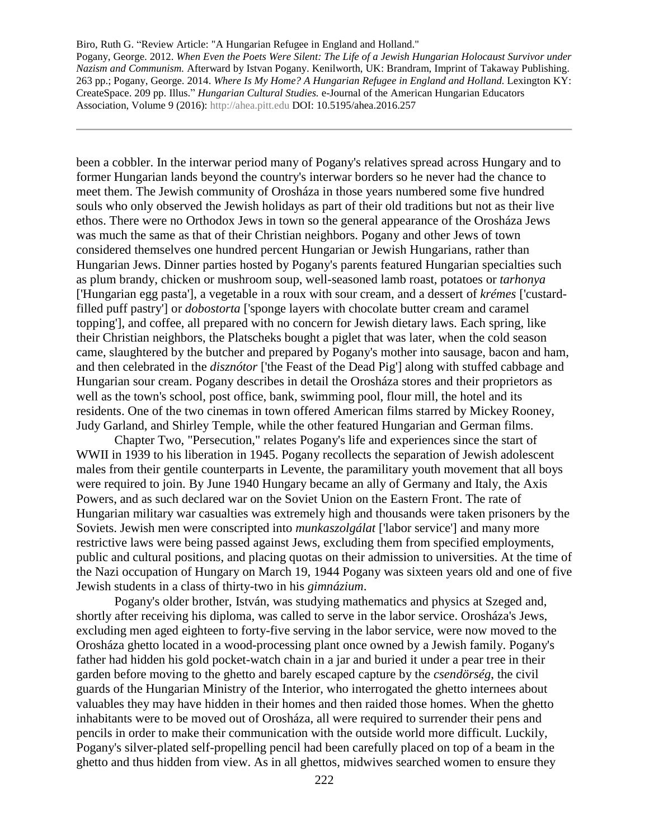Pogany, George. 2012. *When Even the Poets Were Silent: The Life of a Jewish Hungarian Holocaust Survivor under Nazism and Communism.* Afterward by Istvan Pogany. Kenilworth, UK: Brandram, Imprint of Takaway Publishing. 263 pp.; Pogany, George. 2014. *Where Is My Home? A Hungarian Refugee in England and Holland.* Lexington KY: CreateSpace. 209 pp. Illus." *Hungarian Cultural Studies.* e-Journal of the American Hungarian Educators Association, Volume 9 (2016): [http://ahea.pitt.edu](http://ahea.pitt.edu/) DOI: 10.5195/ahea.2016.257

been a cobbler. In the interwar period many of Pogany's relatives spread across Hungary and to former Hungarian lands beyond the country's interwar borders so he never had the chance to meet them. The Jewish community of Orosháza in those years numbered some five hundred souls who only observed the Jewish holidays as part of their old traditions but not as their live ethos. There were no Orthodox Jews in town so the general appearance of the Orosháza Jews was much the same as that of their Christian neighbors. Pogany and other Jews of town considered themselves one hundred percent Hungarian or Jewish Hungarians, rather than Hungarian Jews. Dinner parties hosted by Pogany's parents featured Hungarian specialties such as plum brandy, chicken or mushroom soup, well-seasoned lamb roast, potatoes or *tarhonya* ['Hungarian egg pasta'], a vegetable in a roux with sour cream, and a dessert of *krémes* ['custardfilled puff pastry'] or *dobostorta* ['sponge layers with chocolate butter cream and caramel topping'], and coffee, all prepared with no concern for Jewish dietary laws. Each spring, like their Christian neighbors, the Platscheks bought a piglet that was later, when the cold season came, slaughtered by the butcher and prepared by Pogany's mother into sausage, bacon and ham, and then celebrated in the *disznótor* ['the Feast of the Dead Pig'] along with stuffed cabbage and Hungarian sour cream. Pogany describes in detail the Orosháza stores and their proprietors as well as the town's school, post office, bank, swimming pool, flour mill, the hotel and its residents. One of the two cinemas in town offered American films starred by Mickey Rooney, Judy Garland, and Shirley Temple, while the other featured Hungarian and German films.

Chapter Two, "Persecution," relates Pogany's life and experiences since the start of WWII in 1939 to his liberation in 1945. Pogany recollects the separation of Jewish adolescent males from their gentile counterparts in Levente, the paramilitary youth movement that all boys were required to join. By June 1940 Hungary became an ally of Germany and Italy, the Axis Powers, and as such declared war on the Soviet Union on the Eastern Front. The rate of Hungarian military war casualties was extremely high and thousands were taken prisoners by the Soviets. Jewish men were conscripted into *munkaszolgálat* ['labor service'] and many more restrictive laws were being passed against Jews, excluding them from specified employments, public and cultural positions, and placing quotas on their admission to universities. At the time of the Nazi occupation of Hungary on March 19, 1944 Pogany was sixteen years old and one of five Jewish students in a class of thirty-two in his *gimnázium*.

Pogany's older brother, István, was studying mathematics and physics at Szeged and, shortly after receiving his diploma, was called to serve in the labor service. Orosháza's Jews, excluding men aged eighteen to forty-five serving in the labor service, were now moved to the Orosháza ghetto located in a wood-processing plant once owned by a Jewish family. Pogany's father had hidden his gold pocket-watch chain in a jar and buried it under a pear tree in their garden before moving to the ghetto and barely escaped capture by the *csendörség*, the civil guards of the Hungarian Ministry of the Interior, who interrogated the ghetto internees about valuables they may have hidden in their homes and then raided those homes. When the ghetto inhabitants were to be moved out of Orosháza, all were required to surrender their pens and pencils in order to make their communication with the outside world more difficult. Luckily, Pogany's silver-plated self-propelling pencil had been carefully placed on top of a beam in the ghetto and thus hidden from view. As in all ghettos, midwives searched women to ensure they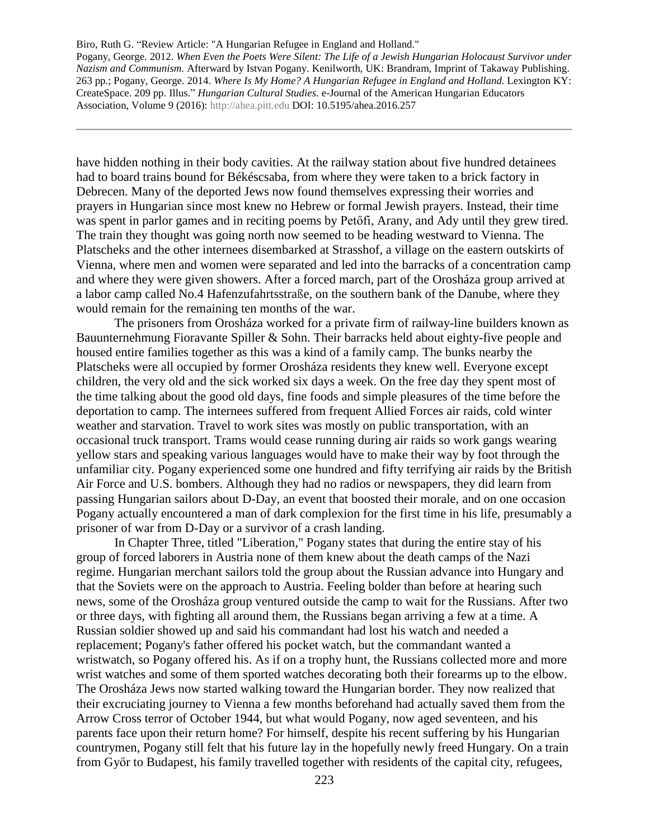Pogany, George. 2012. *When Even the Poets Were Silent: The Life of a Jewish Hungarian Holocaust Survivor under Nazism and Communism.* Afterward by Istvan Pogany. Kenilworth, UK: Brandram, Imprint of Takaway Publishing. 263 pp.; Pogany, George. 2014. *Where Is My Home? A Hungarian Refugee in England and Holland.* Lexington KY: CreateSpace. 209 pp. Illus." *Hungarian Cultural Studies.* e-Journal of the American Hungarian Educators Association, Volume 9 (2016): [http://ahea.pitt.edu](http://ahea.pitt.edu/) DOI: 10.5195/ahea.2016.257

have hidden nothing in their body cavities. At the railway station about five hundred detainees had to board trains bound for Békéscsaba, from where they were taken to a brick factory in Debrecen. Many of the deported Jews now found themselves expressing their worries and prayers in Hungarian since most knew no Hebrew or formal Jewish prayers. Instead, their time was spent in parlor games and in reciting poems by Petőfi, Arany, and Ady until they grew tired. The train they thought was going north now seemed to be heading westward to Vienna. The Platscheks and the other internees disembarked at Strasshof, a village on the eastern outskirts of Vienna, where men and women were separated and led into the barracks of a concentration camp and where they were given showers. After a forced march, part of the Orosháza group arrived at a labor camp called No.4 Hafenzufahrtsstraße, on the southern bank of the Danube, where they would remain for the remaining ten months of the war.

The prisoners from Orosháza worked for a private firm of railway-line builders known as Bauunternehmung Fioravante Spiller & Sohn. Their barracks held about eighty-five people and housed entire families together as this was a kind of a family camp. The bunks nearby the Platscheks were all occupied by former Orosháza residents they knew well. Everyone except children, the very old and the sick worked six days a week. On the free day they spent most of the time talking about the good old days, fine foods and simple pleasures of the time before the deportation to camp. The internees suffered from frequent Allied Forces air raids, cold winter weather and starvation. Travel to work sites was mostly on public transportation, with an occasional truck transport. Trams would cease running during air raids so work gangs wearing yellow stars and speaking various languages would have to make their way by foot through the unfamiliar city. Pogany experienced some one hundred and fifty terrifying air raids by the British Air Force and U.S. bombers. Although they had no radios or newspapers, they did learn from passing Hungarian sailors about D-Day, an event that boosted their morale, and on one occasion Pogany actually encountered a man of dark complexion for the first time in his life, presumably a prisoner of war from D-Day or a survivor of a crash landing.

In Chapter Three, titled "Liberation," Pogany states that during the entire stay of his group of forced laborers in Austria none of them knew about the death camps of the Nazi regime. Hungarian merchant sailors told the group about the Russian advance into Hungary and that the Soviets were on the approach to Austria. Feeling bolder than before at hearing such news, some of the Orosháza group ventured outside the camp to wait for the Russians. After two or three days, with fighting all around them, the Russians began arriving a few at a time. A Russian soldier showed up and said his commandant had lost his watch and needed a replacement; Pogany's father offered his pocket watch, but the commandant wanted a wristwatch, so Pogany offered his. As if on a trophy hunt, the Russians collected more and more wrist watches and some of them sported watches decorating both their forearms up to the elbow. The Orosháza Jews now started walking toward the Hungarian border. They now realized that their excruciating journey to Vienna a few months beforehand had actually saved them from the Arrow Cross terror of October 1944, but what would Pogany, now aged seventeen, and his parents face upon their return home? For himself, despite his recent suffering by his Hungarian countrymen, Pogany still felt that his future lay in the hopefully newly freed Hungary. On a train from Győr to Budapest, his family travelled together with residents of the capital city, refugees,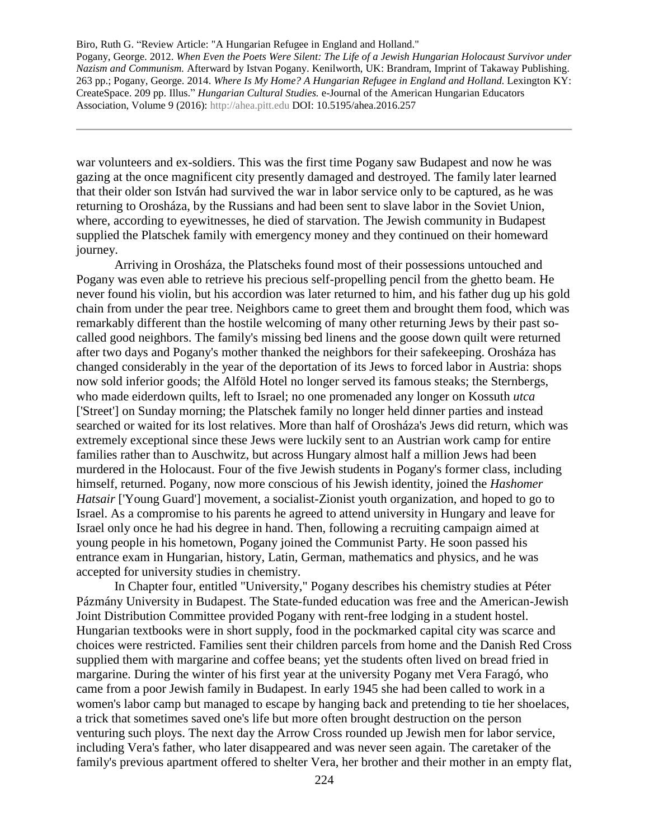Pogany, George. 2012. *When Even the Poets Were Silent: The Life of a Jewish Hungarian Holocaust Survivor under Nazism and Communism.* Afterward by Istvan Pogany. Kenilworth, UK: Brandram, Imprint of Takaway Publishing. 263 pp.; Pogany, George. 2014. *Where Is My Home? A Hungarian Refugee in England and Holland.* Lexington KY: CreateSpace. 209 pp. Illus." *Hungarian Cultural Studies.* e-Journal of the American Hungarian Educators Association, Volume 9 (2016): [http://ahea.pitt.edu](http://ahea.pitt.edu/) DOI: 10.5195/ahea.2016.257

war volunteers and ex-soldiers. This was the first time Pogany saw Budapest and now he was gazing at the once magnificent city presently damaged and destroyed. The family later learned that their older son István had survived the war in labor service only to be captured, as he was returning to Orosháza, by the Russians and had been sent to slave labor in the Soviet Union, where, according to eyewitnesses, he died of starvation. The Jewish community in Budapest supplied the Platschek family with emergency money and they continued on their homeward journey.

Arriving in Orosháza, the Platscheks found most of their possessions untouched and Pogany was even able to retrieve his precious self-propelling pencil from the ghetto beam. He never found his violin, but his accordion was later returned to him, and his father dug up his gold chain from under the pear tree. Neighbors came to greet them and brought them food, which was remarkably different than the hostile welcoming of many other returning Jews by their past socalled good neighbors. The family's missing bed linens and the goose down quilt were returned after two days and Pogany's mother thanked the neighbors for their safekeeping. Orosháza has changed considerably in the year of the deportation of its Jews to forced labor in Austria: shops now sold inferior goods; the Alföld Hotel no longer served its famous steaks; the Sternbergs, who made eiderdown quilts, left to Israel; no one promenaded any longer on Kossuth *utca* ['Street'] on Sunday morning; the Platschek family no longer held dinner parties and instead searched or waited for its lost relatives. More than half of Orosháza's Jews did return, which was extremely exceptional since these Jews were luckily sent to an Austrian work camp for entire families rather than to Auschwitz, but across Hungary almost half a million Jews had been murdered in the Holocaust. Four of the five Jewish students in Pogany's former class, including himself, returned. Pogany, now more conscious of his Jewish identity, joined the *Hashomer Hatsair* ['Young Guard'] movement, a socialist-Zionist youth organization, and hoped to go to Israel. As a compromise to his parents he agreed to attend university in Hungary and leave for Israel only once he had his degree in hand. Then, following a recruiting campaign aimed at young people in his hometown, Pogany joined the Communist Party. He soon passed his entrance exam in Hungarian, history, Latin, German, mathematics and physics, and he was accepted for university studies in chemistry.

In Chapter four, entitled "University," Pogany describes his chemistry studies at Péter Pázmány University in Budapest. The State-funded education was free and the American-Jewish Joint Distribution Committee provided Pogany with rent-free lodging in a student hostel. Hungarian textbooks were in short supply, food in the pockmarked capital city was scarce and choices were restricted. Families sent their children parcels from home and the Danish Red Cross supplied them with margarine and coffee beans; yet the students often lived on bread fried in margarine. During the winter of his first year at the university Pogany met Vera Faragó, who came from a poor Jewish family in Budapest. In early 1945 she had been called to work in a women's labor camp but managed to escape by hanging back and pretending to tie her shoelaces, a trick that sometimes saved one's life but more often brought destruction on the person venturing such ploys. The next day the Arrow Cross rounded up Jewish men for labor service, including Vera's father, who later disappeared and was never seen again. The caretaker of the family's previous apartment offered to shelter Vera, her brother and their mother in an empty flat,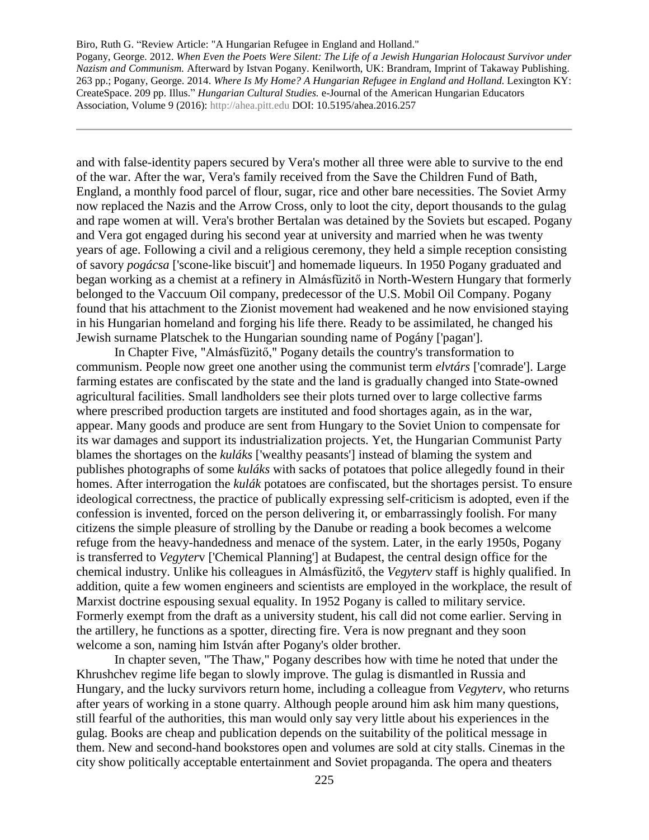Pogany, George. 2012. *When Even the Poets Were Silent: The Life of a Jewish Hungarian Holocaust Survivor under Nazism and Communism.* Afterward by Istvan Pogany. Kenilworth, UK: Brandram, Imprint of Takaway Publishing. 263 pp.; Pogany, George. 2014. *Where Is My Home? A Hungarian Refugee in England and Holland.* Lexington KY: CreateSpace. 209 pp. Illus." *Hungarian Cultural Studies.* e-Journal of the American Hungarian Educators Association, Volume 9 (2016): [http://ahea.pitt.edu](http://ahea.pitt.edu/) DOI: 10.5195/ahea.2016.257

and with false-identity papers secured by Vera's mother all three were able to survive to the end of the war. After the war, Vera's family received from the Save the Children Fund of Bath, England, a monthly food parcel of flour, sugar, rice and other bare necessities. The Soviet Army now replaced the Nazis and the Arrow Cross, only to loot the city, deport thousands to the gulag and rape women at will. Vera's brother Bertalan was detained by the Soviets but escaped. Pogany and Vera got engaged during his second year at university and married when he was twenty years of age. Following a civil and a religious ceremony, they held a simple reception consisting of savory *pogácsa* ['scone-like biscuit'] and homemade liqueurs. In 1950 Pogany graduated and began working as a chemist at a refinery in Almásfüzitő in North-Western Hungary that formerly belonged to the Vaccuum Oil company, predecessor of the U.S. Mobil Oil Company. Pogany found that his attachment to the Zionist movement had weakened and he now envisioned staying in his Hungarian homeland and forging his life there. Ready to be assimilated, he changed his Jewish surname Platschek to the Hungarian sounding name of Pogány ['pagan'].

In Chapter Five, "Almásfüzitő," Pogany details the country's transformation to communism. People now greet one another using the communist term *elvtárs* ['comrade']. Large farming estates are confiscated by the state and the land is gradually changed into State-owned agricultural facilities. Small landholders see their plots turned over to large collective farms where prescribed production targets are instituted and food shortages again, as in the war, appear. Many goods and produce are sent from Hungary to the Soviet Union to compensate for its war damages and support its industrialization projects. Yet, the Hungarian Communist Party blames the shortages on the *kuláks* ['wealthy peasants'] instead of blaming the system and publishes photographs of some *kuláks* with sacks of potatoes that police allegedly found in their homes. After interrogation the *kulák* potatoes are confiscated, but the shortages persist. To ensure ideological correctness, the practice of publically expressing self-criticism is adopted, even if the confession is invented, forced on the person delivering it, or embarrassingly foolish. For many citizens the simple pleasure of strolling by the Danube or reading a book becomes a welcome refuge from the heavy-handedness and menace of the system. Later, in the early 1950s, Pogany is transferred to *Vegyter*v ['Chemical Planning'] at Budapest, the central design office for the chemical industry. Unlike his colleagues in Almásfüzitő, the *Vegyterv* staff is highly qualified. In addition, quite a few women engineers and scientists are employed in the workplace, the result of Marxist doctrine espousing sexual equality. In 1952 Pogany is called to military service. Formerly exempt from the draft as a university student, his call did not come earlier. Serving in the artillery, he functions as a spotter, directing fire. Vera is now pregnant and they soon welcome a son, naming him István after Pogany's older brother.

In chapter seven, "The Thaw," Pogany describes how with time he noted that under the Khrushchev regime life began to slowly improve. The gulag is dismantled in Russia and Hungary, and the lucky survivors return home, including a colleague from *Vegyterv*, who returns after years of working in a stone quarry. Although people around him ask him many questions, still fearful of the authorities, this man would only say very little about his experiences in the gulag. Books are cheap and publication depends on the suitability of the political message in them. New and second-hand bookstores open and volumes are sold at city stalls. Cinemas in the city show politically acceptable entertainment and Soviet propaganda. The opera and theaters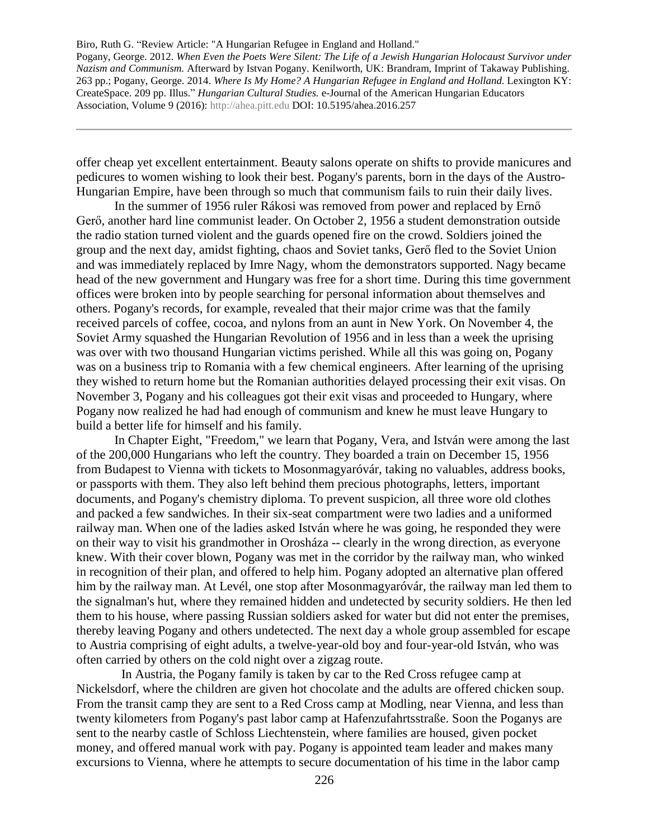offer cheap yet excellent entertainment. Beauty salons operate on shifts to provide manicures and pedicures to women wishing to look their best. Pogany's parents, born in the days of the Austro-Hungarian Empire, have been through so much that communism fails to ruin their daily lives.

In the summer of 1956 ruler Rákosi was removed from power and replaced by Ernő Gerő, another hard line communist leader. On October 2, 1956 a student demonstration outside the radio station turned violent and the guards opened fire on the crowd. Soldiers joined the group and the next day, amidst fighting, chaos and Soviet tanks, Gerő fled to the Soviet Union and was immediately replaced by Imre Nagy, whom the demonstrators supported. Nagy became head of the new government and Hungary was free for a short time. During this time government offices were broken into by people searching for personal information about themselves and others. Pogany's records, for example, revealed that their major crime was that the family received parcels of coffee, cocoa, and nylons from an aunt in New York. On November 4, the Soviet Army squashed the Hungarian Revolution of 1956 and in less than a week the uprising was over with two thousand Hungarian victims perished. While all this was going on, Pogany was on a business trip to Romania with a few chemical engineers. After learning of the uprising they wished to return home but the Romanian authorities delayed processing their exit visas. On November 3, Pogany and his colleagues got their exit visas and proceeded to Hungary, where Pogany now realized he had had enough of communism and knew he must leave Hungary to build a better life for himself and his family.

In Chapter Eight, "Freedom," we learn that Pogany, Vera, and István were among the last of the 200,000 Hungarians who left the country. They boarded a train on December 15, 1956 from Budapest to Vienna with tickets to Mosonmagyaróvár, taking no valuables, address books, or passports with them. They also left behind them precious photographs, letters, important documents, and Pogany's chemistry diploma. To prevent suspicion, all three wore old clothes and packed a few sandwiches. In their six-seat compartment were two ladies and a uniformed railway man. When one of the ladies asked István where he was going, he responded they were on their way to visit his grandmother in Orosháza -- clearly in the wrong direction, as everyone knew. With their cover blown, Pogany was met in the corridor by the railway man, who winked in recognition of their plan, and offered to help him. Pogany adopted an alternative plan offered him by the railway man. At Levél, one stop after Mosonmagyaróvár, the railway man led them to the signalman's hut, where they remained hidden and undetected by security soldiers. He then led them to his house, where passing Russian soldiers asked for water but did not enter the premises, thereby leaving Pogany and others undetected. The next day a whole group assembled for escape to Austria comprising of eight adults, a twelve-year-old boy and four-year-old István, who was often carried by others on the cold night over a zigzag route.

In Austria, the Pogany family is taken by car to the Red Cross refugee camp at Nickelsdorf, where the children are given hot chocolate and the adults are offered chicken soup. From the transit camp they are sent to a Red Cross camp at Modling, near Vienna, and less than twenty kilometers from Pogany's past labor camp at Hafenzufahrtsstraße. Soon the Poganys are sent to the nearby castle of Schloss Liechtenstein, where families are housed, given pocket money, and offered manual work with pay. Pogany is appointed team leader and makes many excursions to Vienna, where he attempts to secure documentation of his time in the labor camp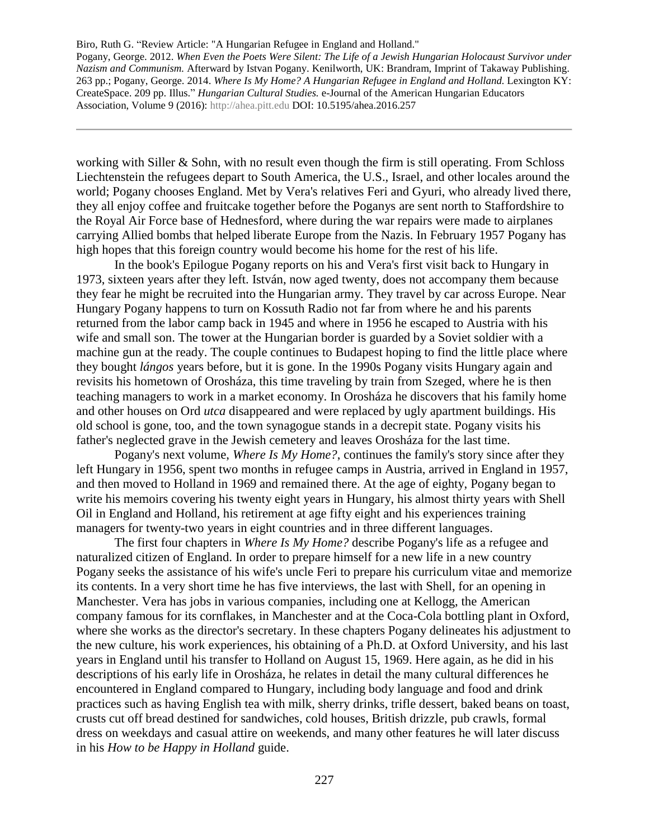Pogany, George. 2012. *When Even the Poets Were Silent: The Life of a Jewish Hungarian Holocaust Survivor under Nazism and Communism.* Afterward by Istvan Pogany. Kenilworth, UK: Brandram, Imprint of Takaway Publishing. 263 pp.; Pogany, George. 2014. *Where Is My Home? A Hungarian Refugee in England and Holland.* Lexington KY: CreateSpace. 209 pp. Illus." *Hungarian Cultural Studies.* e-Journal of the American Hungarian Educators Association, Volume 9 (2016): [http://ahea.pitt.edu](http://ahea.pitt.edu/) DOI: 10.5195/ahea.2016.257

working with Siller & Sohn, with no result even though the firm is still operating. From Schloss Liechtenstein the refugees depart to South America, the U.S., Israel, and other locales around the world; Pogany chooses England. Met by Vera's relatives Feri and Gyuri, who already lived there, they all enjoy coffee and fruitcake together before the Poganys are sent north to Staffordshire to the Royal Air Force base of Hednesford, where during the war repairs were made to airplanes carrying Allied bombs that helped liberate Europe from the Nazis. In February 1957 Pogany has high hopes that this foreign country would become his home for the rest of his life.

In the book's Epilogue Pogany reports on his and Vera's first visit back to Hungary in 1973, sixteen years after they left. István, now aged twenty, does not accompany them because they fear he might be recruited into the Hungarian army. They travel by car across Europe. Near Hungary Pogany happens to turn on Kossuth Radio not far from where he and his parents returned from the labor camp back in 1945 and where in 1956 he escaped to Austria with his wife and small son. The tower at the Hungarian border is guarded by a Soviet soldier with a machine gun at the ready. The couple continues to Budapest hoping to find the little place where they bought *lángos* years before, but it is gone. In the 1990s Pogany visits Hungary again and revisits his hometown of Orosháza, this time traveling by train from Szeged, where he is then teaching managers to work in a market economy. In Orosháza he discovers that his family home and other houses on Ord *utca* disappeared and were replaced by ugly apartment buildings. His old school is gone, too, and the town synagogue stands in a decrepit state. Pogany visits his father's neglected grave in the Jewish cemetery and leaves Orosháza for the last time.

Pogany's next volume, *Where Is My Home?*, continues the family's story since after they left Hungary in 1956, spent two months in refugee camps in Austria, arrived in England in 1957, and then moved to Holland in 1969 and remained there. At the age of eighty, Pogany began to write his memoirs covering his twenty eight years in Hungary, his almost thirty years with Shell Oil in England and Holland, his retirement at age fifty eight and his experiences training managers for twenty-two years in eight countries and in three different languages.

The first four chapters in *Where Is My Home?* describe Pogany's life as a refugee and naturalized citizen of England. In order to prepare himself for a new life in a new country Pogany seeks the assistance of his wife's uncle Feri to prepare his curriculum vitae and memorize its contents. In a very short time he has five interviews, the last with Shell, for an opening in Manchester. Vera has jobs in various companies, including one at Kellogg, the American company famous for its cornflakes, in Manchester and at the Coca-Cola bottling plant in Oxford, where she works as the director's secretary. In these chapters Pogany delineates his adjustment to the new culture, his work experiences, his obtaining of a Ph.D. at Oxford University, and his last years in England until his transfer to Holland on August 15, 1969. Here again, as he did in his descriptions of his early life in Orosháza, he relates in detail the many cultural differences he encountered in England compared to Hungary, including body language and food and drink practices such as having English tea with milk, sherry drinks, trifle dessert, baked beans on toast, crusts cut off bread destined for sandwiches, cold houses, British drizzle, pub crawls, formal dress on weekdays and casual attire on weekends, and many other features he will later discuss in his *How to be Happy in Holland* guide.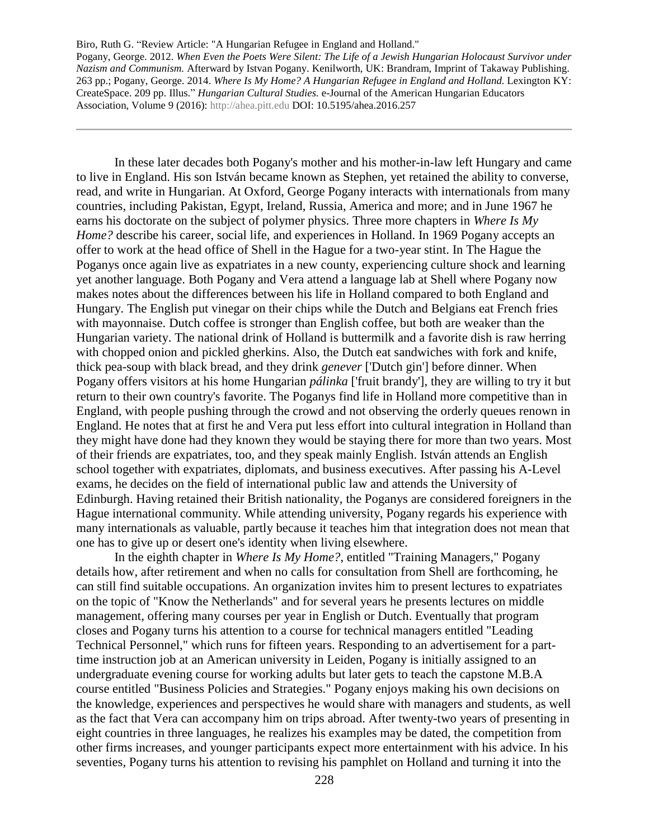In these later decades both Pogany's mother and his mother-in-law left Hungary and came to live in England. His son István became known as Stephen, yet retained the ability to converse, read, and write in Hungarian. At Oxford, George Pogany interacts with internationals from many countries, including Pakistan, Egypt, Ireland, Russia, America and more; and in June 1967 he earns his doctorate on the subject of polymer physics. Three more chapters in *Where Is My Home?* describe his career, social life, and experiences in Holland. In 1969 Pogany accepts an offer to work at the head office of Shell in the Hague for a two-year stint. In The Hague the Poganys once again live as expatriates in a new county, experiencing culture shock and learning yet another language. Both Pogany and Vera attend a language lab at Shell where Pogany now makes notes about the differences between his life in Holland compared to both England and Hungary. The English put vinegar on their chips while the Dutch and Belgians eat French fries with mayonnaise. Dutch coffee is stronger than English coffee, but both are weaker than the Hungarian variety. The national drink of Holland is buttermilk and a favorite dish is raw herring with chopped onion and pickled gherkins. Also, the Dutch eat sandwiches with fork and knife, thick pea-soup with black bread, and they drink *genever* ['Dutch gin'] before dinner. When Pogany offers visitors at his home Hungarian *pálinka* ['fruit brandy'], they are willing to try it but return to their own country's favorite. The Poganys find life in Holland more competitive than in England, with people pushing through the crowd and not observing the orderly queues renown in England. He notes that at first he and Vera put less effort into cultural integration in Holland than they might have done had they known they would be staying there for more than two years. Most of their friends are expatriates, too, and they speak mainly English. István attends an English school together with expatriates, diplomats, and business executives. After passing his A-Level exams, he decides on the field of international public law and attends the University of Edinburgh. Having retained their British nationality, the Poganys are considered foreigners in the Hague international community. While attending university, Pogany regards his experience with many internationals as valuable, partly because it teaches him that integration does not mean that one has to give up or desert one's identity when living elsewhere.

In the eighth chapter in *Where Is My Home?*, entitled "Training Managers," Pogany details how, after retirement and when no calls for consultation from Shell are forthcoming, he can still find suitable occupations. An organization invites him to present lectures to expatriates on the topic of "Know the Netherlands" and for several years he presents lectures on middle management, offering many courses per year in English or Dutch. Eventually that program closes and Pogany turns his attention to a course for technical managers entitled "Leading Technical Personnel," which runs for fifteen years. Responding to an advertisement for a parttime instruction job at an American university in Leiden, Pogany is initially assigned to an undergraduate evening course for working adults but later gets to teach the capstone M.B.A course entitled "Business Policies and Strategies." Pogany enjoys making his own decisions on the knowledge, experiences and perspectives he would share with managers and students, as well as the fact that Vera can accompany him on trips abroad. After twenty-two years of presenting in eight countries in three languages, he realizes his examples may be dated, the competition from other firms increases, and younger participants expect more entertainment with his advice. In his seventies, Pogany turns his attention to revising his pamphlet on Holland and turning it into the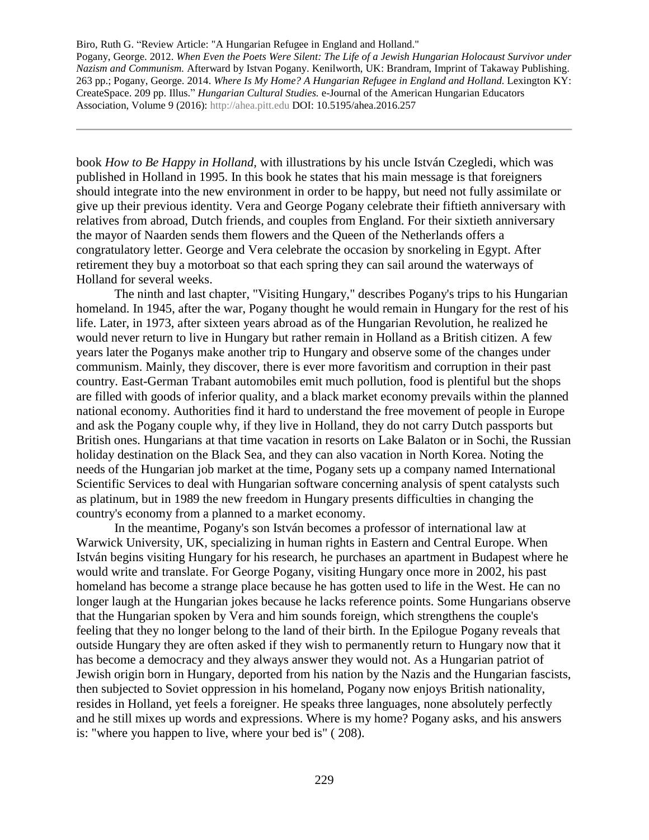Pogany, George. 2012. *When Even the Poets Were Silent: The Life of a Jewish Hungarian Holocaust Survivor under Nazism and Communism.* Afterward by Istvan Pogany. Kenilworth, UK: Brandram, Imprint of Takaway Publishing. 263 pp.; Pogany, George. 2014. *Where Is My Home? A Hungarian Refugee in England and Holland.* Lexington KY: CreateSpace. 209 pp. Illus." *Hungarian Cultural Studies.* e-Journal of the American Hungarian Educators Association, Volume 9 (2016): [http://ahea.pitt.edu](http://ahea.pitt.edu/) DOI: 10.5195/ahea.2016.257

book *How to Be Happy in Holland,* with illustrations by his uncle István Czegledi, which was published in Holland in 1995. In this book he states that his main message is that foreigners should integrate into the new environment in order to be happy, but need not fully assimilate or give up their previous identity. Vera and George Pogany celebrate their fiftieth anniversary with relatives from abroad, Dutch friends, and couples from England. For their sixtieth anniversary the mayor of Naarden sends them flowers and the Queen of the Netherlands offers a congratulatory letter. George and Vera celebrate the occasion by snorkeling in Egypt. After retirement they buy a motorboat so that each spring they can sail around the waterways of Holland for several weeks.

The ninth and last chapter, "Visiting Hungary," describes Pogany's trips to his Hungarian homeland. In 1945, after the war, Pogany thought he would remain in Hungary for the rest of his life. Later, in 1973, after sixteen years abroad as of the Hungarian Revolution, he realized he would never return to live in Hungary but rather remain in Holland as a British citizen. A few years later the Poganys make another trip to Hungary and observe some of the changes under communism. Mainly, they discover, there is ever more favoritism and corruption in their past country. East-German Trabant automobiles emit much pollution, food is plentiful but the shops are filled with goods of inferior quality, and a black market economy prevails within the planned national economy. Authorities find it hard to understand the free movement of people in Europe and ask the Pogany couple why, if they live in Holland, they do not carry Dutch passports but British ones. Hungarians at that time vacation in resorts on Lake Balaton or in Sochi, the Russian holiday destination on the Black Sea, and they can also vacation in North Korea. Noting the needs of the Hungarian job market at the time, Pogany sets up a company named International Scientific Services to deal with Hungarian software concerning analysis of spent catalysts such as platinum, but in 1989 the new freedom in Hungary presents difficulties in changing the country's economy from a planned to a market economy.

In the meantime, Pogany's son István becomes a professor of international law at Warwick University, UK, specializing in human rights in Eastern and Central Europe. When István begins visiting Hungary for his research, he purchases an apartment in Budapest where he would write and translate. For George Pogany, visiting Hungary once more in 2002, his past homeland has become a strange place because he has gotten used to life in the West. He can no longer laugh at the Hungarian jokes because he lacks reference points. Some Hungarians observe that the Hungarian spoken by Vera and him sounds foreign, which strengthens the couple's feeling that they no longer belong to the land of their birth. In the Epilogue Pogany reveals that outside Hungary they are often asked if they wish to permanently return to Hungary now that it has become a democracy and they always answer they would not. As a Hungarian patriot of Jewish origin born in Hungary, deported from his nation by the Nazis and the Hungarian fascists, then subjected to Soviet oppression in his homeland, Pogany now enjoys British nationality, resides in Holland, yet feels a foreigner. He speaks three languages, none absolutely perfectly and he still mixes up words and expressions. Where is my home? Pogany asks, and his answers is: "where you happen to live, where your bed is" ( 208).